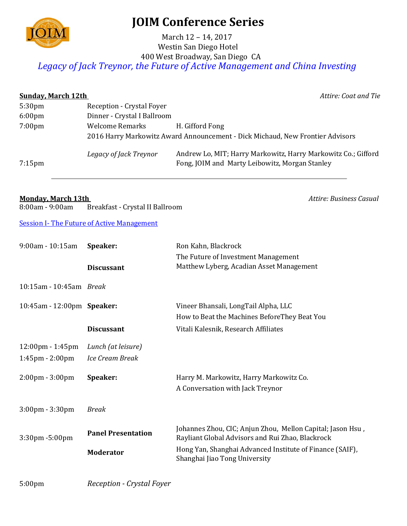

## **JOIM Conference Series**

## Westin San Diego Hotel 400 West Broadway, San Diego CA March 12 – 14, 2017 *Legacy of Jack Treynor, the Future of Active Management and China Investing*

| <b>Sunday, March 12th</b> |                             | Attire: Coat and Tie                                                                                            |
|---------------------------|-----------------------------|-----------------------------------------------------------------------------------------------------------------|
| 5:30 <sub>pm</sub>        | Reception - Crystal Foyer   |                                                                                                                 |
| $6:00 \text{pm}$          | Dinner - Crystal I Ballroom |                                                                                                                 |
| 7:00 <sub>pm</sub>        | <b>Welcome Remarks</b>      | H. Gifford Fong                                                                                                 |
|                           |                             | 2016 Harry Markowitz Award Announcement - Dick Michaud, New Frontier Advisors                                   |
| $7:15$ pm                 | Legacy of Jack Treynor      | Andrew Lo, MIT; Harry Markowitz, Harry Markowitz Co.; Gifford<br>Fong, JOIM and Marty Leibowitz, Morgan Stanley |
|                           |                             |                                                                                                                 |

## **Monday, March 13th** *Attire: Business Casual*

8:00am - 9:00am Breakfast - Crystal II Ballroom

**Session I- The Future of Active Management** 

| 9:00am - 10:15am                   | Speaker:                         | Ron Kahn, Blackrock<br>The Future of Investment Management                                                     |
|------------------------------------|----------------------------------|----------------------------------------------------------------------------------------------------------------|
|                                    | <b>Discussant</b>                | Matthew Lyberg, Acadian Asset Management                                                                       |
| 10:15am - 10:45am Break            |                                  |                                                                                                                |
| 10:45am - 12:00pm Speaker:         |                                  | Vineer Bhansali, LongTail Alpha, LLC                                                                           |
|                                    |                                  | How to Beat the Machines BeforeThey Beat You                                                                   |
|                                    | <b>Discussant</b>                | Vitali Kalesnik, Research Affiliates                                                                           |
| $12:00 \text{pm} - 1:45 \text{pm}$ | Lunch (at leisure)               |                                                                                                                |
| $1:45$ pm - $2:00$ pm              | Ice Cream Break                  |                                                                                                                |
| $2:00 \text{pm} - 3:00 \text{pm}$  | Speaker:                         | Harry M. Markowitz, Harry Markowitz Co.                                                                        |
|                                    |                                  | A Conversation with Jack Treynor                                                                               |
| $3:00 \text{pm} - 3:30 \text{pm}$  | <b>Break</b>                     |                                                                                                                |
| 3:30pm -5:00pm                     | <b>Panel Presentation</b>        | Johannes Zhou, CIC; Anjun Zhou, Mellon Capital; Jason Hsu,<br>Rayliant Global Advisors and Rui Zhao, Blackrock |
|                                    | <b>Moderator</b>                 | Hong Yan, Shanghai Advanced Institute of Finance (SAIF),<br>Shanghai Jiao Tong University                      |
| 5:00 <sub>pm</sub>                 | <b>Reception - Crystal Foyer</b> |                                                                                                                |